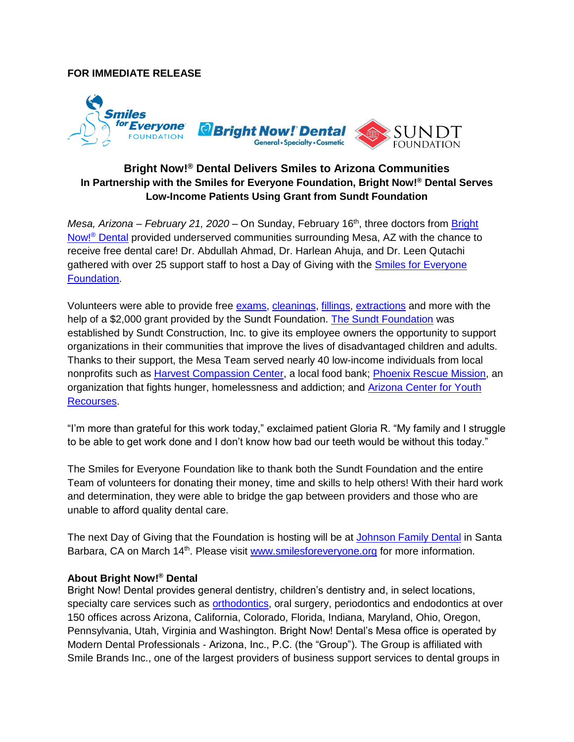## **FOR IMMEDIATE RELEASE**



## **Bright Now!® Dental Delivers Smiles to Arizona Communities In Partnership with the Smiles for Everyone Foundation, Bright Now!® Dental Serves Low-Income Patients Using Grant from Sundt Foundation**

*Mesa, Arizona – February 21, 2020 – On Sunday, February 16<sup>th</sup>, three doctors from Bright* Now!® [Dental](https://www.brightnow.com/) provided underserved communities surrounding Mesa, AZ with the chance to receive free dental care! Dr. Abdullah Ahmad, Dr. Harlean Ahuja, and Dr. Leen Qutachi gathered with over 25 support staff to host a Day of Giving with the [Smiles for Everyone](http://www.smilesforeveryone.org/)  [Foundation.](http://www.smilesforeveryone.org/)

Volunteers were able to provide free [exams,](https://www.brightnow.com/services/dentist/oral-exam) [cleanings,](https://www.brightnow.com/services/dentist/teeth-cleaning) [fillings,](https://www.brightnow.com/services/dentist/dental-fillings) [extractions](https://www.brightnow.com/services/oral-surgeon/tooth-extraction) and more with the help of a \$2,000 grant provided by the Sundt Foundation. [The Sundt Foundation](https://www.sundt.com/2011/07/19/sundt-foundation/) was established by Sundt Construction, Inc. to give its employee owners the opportunity to support organizations in their communities that improve the lives of disadvantaged children and adults. Thanks to their support, the Mesa Team served nearly 40 low-income individuals from local nonprofits such as [Harvest Compassion Center,](https://hccchandler.org/) a local food bank; [Phoenix Rescue Mission,](https://phoenixrescuemission.org/mission/) an organization that fights hunger, homelessness and addiction; and [Arizona Center for Youth](https://acyraz.org/)  [Recourses.](https://acyraz.org/)

"I'm more than grateful for this work today," exclaimed patient Gloria R. "My family and I struggle to be able to get work done and I don't know how bad our teeth would be without this today."

The Smiles for Everyone Foundation like to thank both the Sundt Foundation and the entire Team of volunteers for donating their money, time and skills to help others! With their hard work and determination, they were able to bridge the gap between providers and those who are unable to afford quality dental care.

The next Day of Giving that the Foundation is hosting will be at [Johnson Family Dental](https://www.johnsonfamilydental.com/) in Santa Barbara, CA on March 14<sup>th</sup>. Please visit **www.smilesforeveryone.org** for more information.

## **About Bright Now!® Dental**

Bright Now! Dental provides general dentistry, children's dentistry and, in select locations, specialty care services such as [orthodontics,](https://www.brightnow.com/orthodontist/braces) oral surgery, periodontics and endodontics at over 150 offices across Arizona, California, Colorado, Florida, Indiana, Maryland, Ohio, Oregon, Pennsylvania, Utah, Virginia and Washington. Bright Now! Dental's Mesa office is operated by Modern Dental Professionals - Arizona, Inc., P.C. (the "Group"). The Group is affiliated with Smile Brands Inc., one of the largest providers of business support services to dental groups in